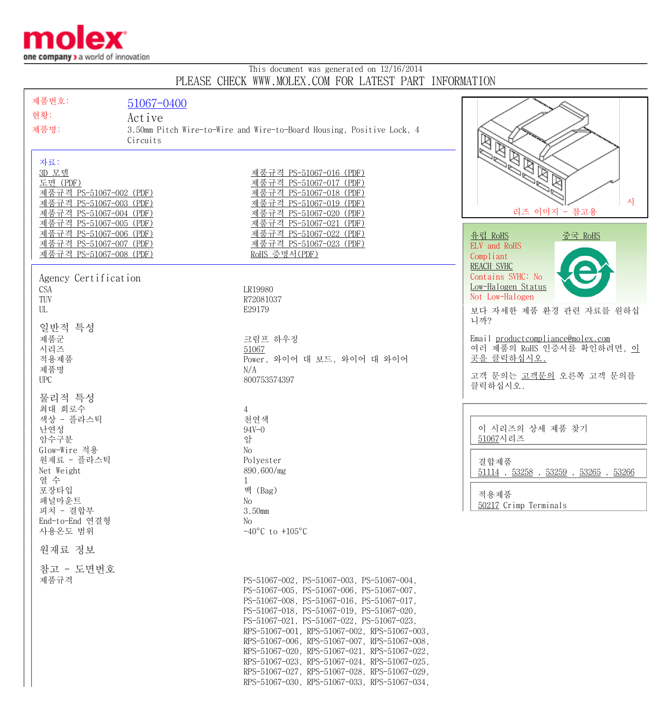

## This document was generated on 12/16/2014 PLEASE CHECK WWW.MOLEX.COM FOR LATEST PART INFORMATION

| 제품번호:<br>현황:<br>제품명:                                                                                                                           | 51067-0400<br>Active<br>3.50mm Pitch Wire-to-Wire and Wire-to-Board Housing, Positive Lock, 4<br>Circuits                                                                                                                                                                                                                                                                                                                                                                                                                     | ∛<br>                                                                                                                                                                                                                                                                                                                                                                                    |
|------------------------------------------------------------------------------------------------------------------------------------------------|-------------------------------------------------------------------------------------------------------------------------------------------------------------------------------------------------------------------------------------------------------------------------------------------------------------------------------------------------------------------------------------------------------------------------------------------------------------------------------------------------------------------------------|------------------------------------------------------------------------------------------------------------------------------------------------------------------------------------------------------------------------------------------------------------------------------------------------------------------------------------------------------------------------------------------|
| 자료:<br>3D 모델<br>도면 (PDF)<br>제품규격 PS-51067-002 (PDF)<br>제품규격 PS-51067-003 (PDF)<br>제품규격 PS-51067-004 (PDF)<br>제품규격 PS-51067-005 (PDF)           | 제품규격 PS-51067-016 (PDF)<br>제품규격 PS-51067-017 (PDF)<br>제품규격 PS-51067-018 (PDF)<br>제품규격 PS-51067-019 (PDF)<br>제품규격 PS-51067-020 (PDF)<br>제품규격 PS-51067-021 (PDF)                                                                                                                                                                                                                                                                                                                                                                | $\begin{picture}(20,20) \put(0,0){\line(1,0){10}} \put(15,0){\line(1,0){10}} \put(15,0){\line(1,0){10}} \put(15,0){\line(1,0){10}} \put(15,0){\line(1,0){10}} \put(15,0){\line(1,0){10}} \put(15,0){\line(1,0){10}} \put(15,0){\line(1,0){10}} \put(15,0){\line(1,0){10}} \put(15,0){\line(1,0){10}} \put(15,0){\line(1,0){10}} \put(15,0){\line(1$<br>$\mathbb{Z}$<br>시<br>리즈 이미지 - 참고용 |
| 제품규격 PS-51067-006 (PDF)<br>제품규격 PS-51067-007 (PDF)<br><u>제품규격 PS-51067-008 (PDF)</u>                                                           | 제품규격 PS-51067-022 (PDF)<br><u>제품규격 PS-51067-023 (PDF)</u><br>RoHS 증명서(PDF)                                                                                                                                                                                                                                                                                                                                                                                                                                                    | 유럽 RoHS<br><u>중국 RoHS</u><br>ELV and RoHS<br>Compliant<br><b>REACH SVHC</b>                                                                                                                                                                                                                                                                                                              |
| Agency Certification<br><b>CSA</b><br>TUV<br>UL                                                                                                | LR19980<br>R72081037<br>E29179                                                                                                                                                                                                                                                                                                                                                                                                                                                                                                | Contains SVHC: No<br>Low-Halogen Status<br>Not Low-Halogen<br>보다 자세한 제품 환경 관련 자료를 원하십                                                                                                                                                                                                                                                                                                    |
| 일반적 특성<br>제품군<br>시리즈<br>적용제품<br>제품명<br><b>UPC</b>                                                                                              | 크림프 하우징<br>51067<br>Power, 와이어 대 보드, 와이어 대 와이어<br>N/A<br>800753574397                                                                                                                                                                                                                                                                                                                                                                                                                                                         | 니까?<br>Email productcompliance@molex.com<br>여러 제품의 RoHS 인증서를 확인하려면, 이<br>곳을 클릭하십시오.<br>고객 문의는 고객문의 오른쪽 고객 문의를<br>클릭하십시오.                                                                                                                                                                                                                                                                 |
| 물리적 특성<br>최대 회로수<br>색상 - 플라스틱<br>난연성<br>암수구분<br>Glow-Wire 적용<br>원재료 - 플라스틱<br>Net Weight<br>열 수<br>포장타입<br>패널마운트<br>피치 - 결합부<br>End-to-End 연결형 | $\overline{4}$<br>천연색<br>$94V - 0$<br>암<br>No<br>Polyester<br>890.600/mg<br>1<br>백 (Bag)<br>No<br>3.50mm<br>No                                                                                                                                                                                                                                                                                                                                                                                                                | 이 시리즈의 상세 제품 찾기<br>51067시리즈<br>결합제품<br>$51114$ , $53258$ , $53259$ , $53265$ , $53266$<br>적용제품<br>50217 Crimp Terminals                                                                                                                                                                                                                                                                  |
| 사용온도 범위<br>원재료 정보                                                                                                                              | $-40^{\circ}$ C to $+105^{\circ}$ C                                                                                                                                                                                                                                                                                                                                                                                                                                                                                           |                                                                                                                                                                                                                                                                                                                                                                                          |
| 참고 - 도면번호<br>제품규격                                                                                                                              | PS-51067-002, PS-51067-003, PS-51067-004,<br>PS-51067-005, PS-51067-006, PS-51067-007,<br>PS-51067-008, PS-51067-016, PS-51067-017,<br>PS-51067-018, PS-51067-019, PS-51067-020,<br>PS-51067-021, PS-51067-022, PS-51067-023,<br>RPS-51067-001, RPS-51067-002, RPS-51067-003,<br>RPS-51067-006, RPS-51067-007, RPS-51067-008,<br>RPS-51067-020, RPS-51067-021, RPS-51067-022,<br>RPS-51067-023, RPS-51067-024, RPS-51067-025,<br>RPS-51067-027, RPS-51067-028, RPS-51067-029,<br>RPS-51067-030, RPS-51067-033, RPS-51067-034, |                                                                                                                                                                                                                                                                                                                                                                                          |